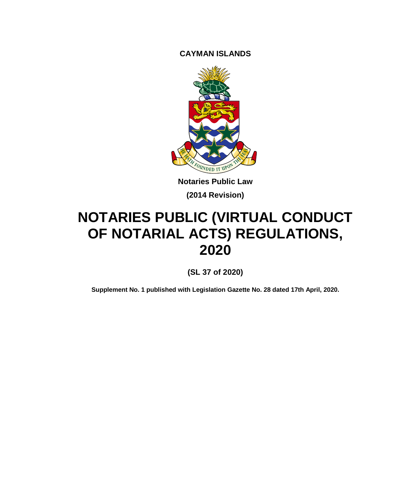**CAYMAN ISLANDS**



**Notaries Public Law (2014 Revision)**

# **NOTARIES PUBLIC (VIRTUAL CONDUCT OF NOTARIAL ACTS) REGULATIONS, 2020**

**(SL 37 of 2020)**

**Supplement No. 1 published with Legislation Gazette No. 28 dated 17th April, 2020.**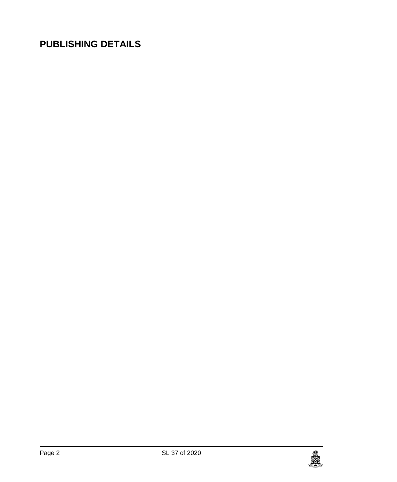### **PUBLISHING DETAILS**

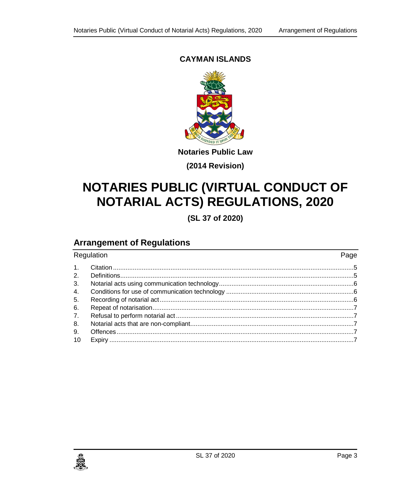#### **CAYMAN ISLANDS**



**Notaries Public Law**

**(2014 Revision)**

## **NOTARIES PUBLIC (VIRTUAL CONDUCT OF NOTARIAL ACTS) REGULATIONS, 2020**

**(SL 37 of 2020)**

### **Arrangement of Regulations**

| Regulation     |  | Page |
|----------------|--|------|
| 1.             |  |      |
| 2 <sub>1</sub> |  |      |
| 3.             |  |      |
| 4.             |  |      |
| 5.             |  |      |
| 6.             |  |      |
| 7.             |  |      |
| 8.             |  |      |
| 9.             |  |      |
| 10             |  |      |

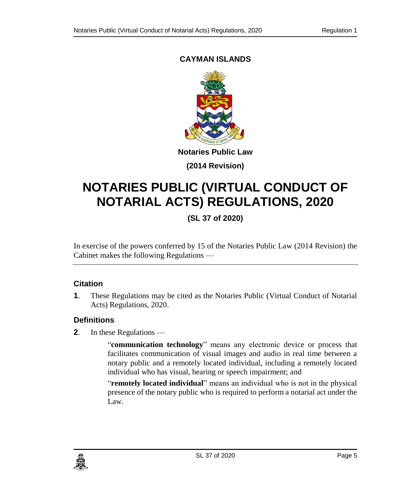### <span id="page-4-0"></span>**CAYMAN ISLANDS**



**(2014 Revision)**

# **NOTARIES PUBLIC (VIRTUAL CONDUCT OF NOTARIAL ACTS) REGULATIONS, 2020**

**(SL 37 of 2020)**

In exercise of the powers conferred by 15 of the Notaries Public Law (2014 Revision) the Cabinet makes the following Regulations —

#### **1. Citation**

**1**. These Regulations may be cited as the Notaries Public (Virtual Conduct of Notarial Acts) Regulations, 2020.

#### <span id="page-4-1"></span>**2. Definitions**

**2**. In these Regulations —

"**communication technology**" means any electronic device or process that facilitates communication of visual images and audio in real time between a notary public and a remotely located individual, including a remotely located individual who has visual, hearing or speech impairment; and

"**remotely located individual**" means an individual who is not in the physical presence of the notary public who is required to perform a notarial act under the Law.

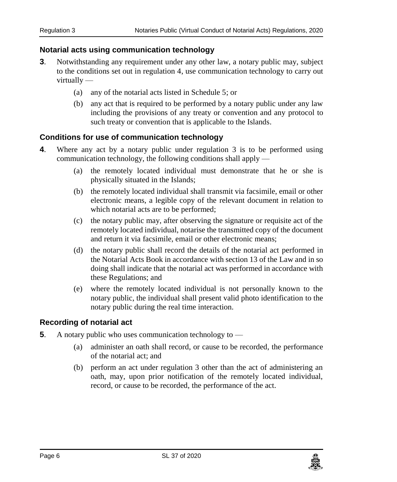#### <span id="page-5-0"></span>**3. Notarial acts using communication technology**

- **3**. Notwithstanding any requirement under any other law, a notary public may, subject to the conditions set out in regulation 4, use communication technology to carry out virtually —
	- (a) any of the notarial acts listed in Schedule 5; or
	- (b) any act that is required to be performed by a notary public under any law including the provisions of any treaty or convention and any protocol to such treaty or convention that is applicable to the Islands.

#### <span id="page-5-1"></span>**4. Conditions for use of communication technology**

- **4**. Where any act by a notary public under regulation 3 is to be performed using communication technology, the following conditions shall apply —
	- (a) the remotely located individual must demonstrate that he or she is physically situated in the Islands;
	- (b) the remotely located individual shall transmit via facsimile, email or other electronic means, a legible copy of the relevant document in relation to which notarial acts are to be performed;
	- (c) the notary public may, after observing the signature or requisite act of the remotely located individual, notarise the transmitted copy of the document and return it via facsimile, email or other electronic means;
	- (d) the notary public shall record the details of the notarial act performed in the Notarial Acts Book in accordance with section 13 of the Law and in so doing shall indicate that the notarial act was performed in accordance with these Regulations; and
	- (e) where the remotely located individual is not personally known to the notary public, the individual shall present valid photo identification to the notary public during the real time interaction.

#### <span id="page-5-2"></span>**5. Recording of notarial act**

- **5**. A notary public who uses communication technology to
	- (a) administer an oath shall record, or cause to be recorded, the performance of the notarial act; and
	- (b) perform an act under regulation 3 other than the act of administering an oath, may, upon prior notification of the remotely located individual, record, or cause to be recorded, the performance of the act.